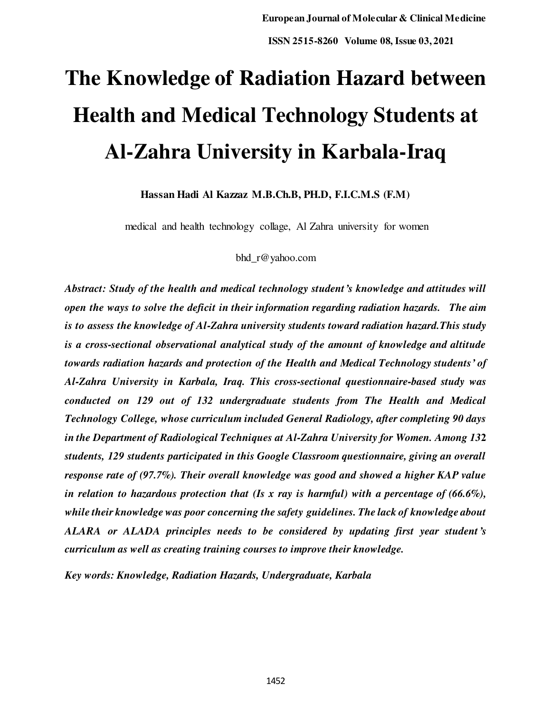# **The Knowledge of Radiation Hazard between Health and Medical Technology Students at Al-Zahra University in Karbala-Iraq**

**Hassan Hadi Al Kazzaz M.B.Ch.B, PH.D, F.I.C.M.S (F.M)** 

medical and health technology collage, Al Zahra university for women

#### bhd\_r@yahoo.com

*Abstract: Study of the health and medical technology student's knowledge and attitudes will open the ways to solve the deficit in their information regarding radiation hazards. The aim is to assess the knowledge of Al-Zahra university students toward radiation hazard.This study is a cross-sectional observational analytical study of the amount of knowledge and altitude towards radiation hazards and protection of the Health and Medical Technology students' of Al-Zahra University in Karbala, Iraq. This cross-sectional questionnaire-based study was conducted on 129 out of 132 undergraduate students from The Health and Medical Technology College, whose curriculum included General Radiology, after completing 90 days in the Department of Radiological Techniques at Al-Zahra University for Women. Among 13***2** *students, 129 students participated in this Google Classroom questionnaire, giving an overall response rate of (97.7%). Their overall knowledge was good and showed a higher KAP value in relation to hazardous protection that (Is x ray is harmful) with a percentage of (66.6%), while their knowledge was poor concerning the safety guidelines. The lack of knowledge about ALARA or ALADA principles needs to be considered by updating first year student's curriculum as well as creating training courses to improve their knowledge.* 

*Key words: Knowledge, Radiation Hazards, Undergraduate, Karbala*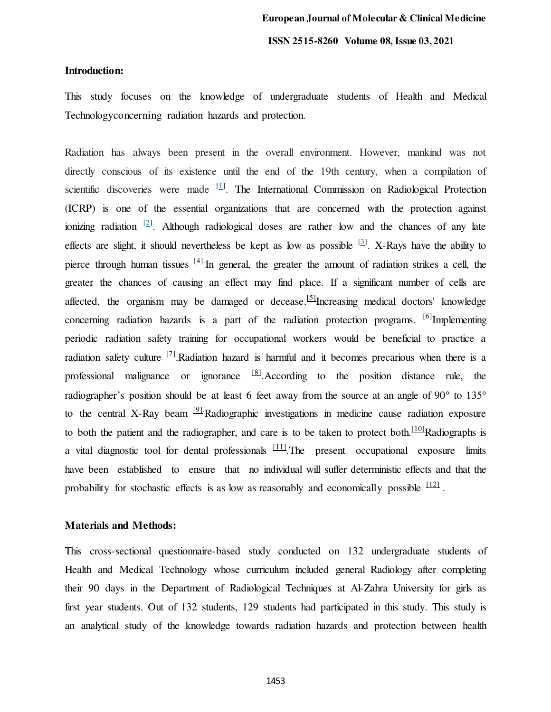#### **Introduction:**

This study focuses on the knowledge of undergraduate students of Health and Medical Technologyconcerning radiation hazards and protection.

Radiation has always been present in the overall environment. However, mankind was not directly conscious of its existence until the end of the 19th century, when a compilation of scientific discoveries were made <sup>[\[1](https://www.omicsonline.org/open-access/assessment-of-knowledge-and-attitude-of-nurses-towards-ionizing-radiation-during-theatreward-radiography-2167-1168-1000342.php?aid=74253#1)]</sup>. The International Commission on Radiological Protection (ICRP) is one of the essential organizations that are concerned with the protection against ionizing radiation  $[2]$ [.](https://www.omicsonline.org/open-access/assessment-of-knowledge-and-attitude-of-nurses-towards-ionizing-radiation-during-theatreward-radiography-2167-1168-1000342.php?aid=74253#1) Although radiological doses are rather low and the chances of any late effects are slight, it should nevertheless be kept as low as possible  $[3]$ . X-Rays have the ability to pierce through human tissues <sup>[4].</sup>In general, the greater the amount of radiation strikes a cell, the greater the chances of causing an effect may find place. If a significant number of cells are affected, the organism may be damaged or deceas[e.](http://www.jioh.org/article.asp?issn=0976-7428;year=2017;volume=9;issue=2;spage=81;epage=87;aulast=Srivastava#ref4)  $[5]$ Increasing medical doctors' knowledge concerning radiation hazards is a part of the radiation protection programs.  $[6]$ Implementing periodic radiation safety training for occupational workers would be beneficial to practice a radiation safety culture  $^{[7]}$ .Radiation hazard is harmful and it becomes precarious when there is a professional malignance or ignorance  $[8]$ . According to the position distance rule, the radiographer's position should be at least 6 feet away from the source at an angle of 90° to 135° to the central X-Ray bea[m](http://www.jioh.org/article.asp?issn=0976-7428;year=2017;volume=9;issue=2;spage=81;epage=87;aulast=Srivastava#ref4) <sup>[9]</sup>.Radiographic investigations in medicine cause radiation exposure to both the patient and the radiographer, and care is to be taken to protect both.<sup>[\[10\]](http://www.jioh.org/article.asp?issn=0976-7428;year=2017;volume=9;issue=2;spage=81;epage=87;aulast=Srivastava#ref4)</sup>Radiographs is a vital diagnostic tool for dental professionals  $\frac{[11]}{[11]}$  $\frac{[11]}{[11]}$  $\frac{[11]}{[11]}$ . The present occupational exposure limits have been established to ensure that no individual will suffer deterministic effects and that the probability for stochastic effects is as low as reasonably and economically possible  $\frac{12}{2}$ .

# **Materials and Methods:**

This cross-sectional questionnaire-based study conducted on 132 undergraduate students of Health and Medical Technology whose curriculum included general Radiology after completing their 90 days in the Department of Radiological Techniques at Al-Zahra University for girls as first year students. Out of 132 students, 129 students had participated in this study. This study is an analytical study of the knowledge towards radiation hazards and protection between health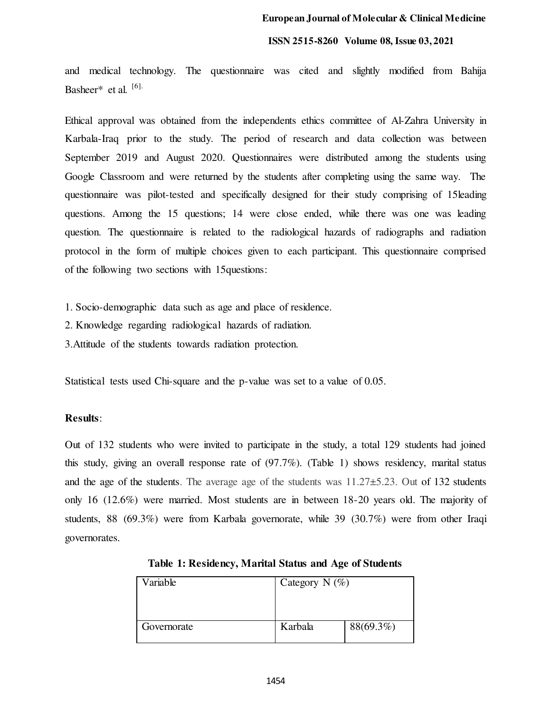#### **ISSN 2515-8260 Volume 08, Issue 03, 2021**

and medical technology. The questionnaire was cited and slightly modified from Bahija Basheer\* et al. [6].

Ethical approval was obtained from the independents ethics committee of Al-Zahra University in Karbala-Iraq prior to the study. The period of research and data collection was between September 2019 and August 2020. Questionnaires were distributed among the students using Google Classroom and were returned by the students after completing using the same way. The questionnaire was pilot-tested and specifically designed for their study comprising of 15leading questions. Among the 15 questions; 14 were close ended, while there was one was leading question. The questionnaire is related to the radiological hazards of radiographs and radiation protocol in the form of multiple choices given to each participant. This questionnaire comprised of the following two sections with 15questions:

1. Socio-demographic data such as age and place of residence.

2. Knowledge regarding radiological hazards of radiation.

3.Attitude of the students towards radiation protection.

Statistical tests used Chi-square and the p-value was set to a value of 0.05.

#### **Results**:

Out of 132 students who were invited to participate in the study, a total 129 students had joined this study, giving an overall response rate of (97.7%). (Table 1) shows residency, marital status and the age of the students. The average age of the students was 11.27±5.23. Out of 132 students only 16 (12.6%) were married. Most students are in between 18-20 years old. The majority of students, 88 (69.3%) were from Karbala governorate, while 39 (30.7%) were from other Iraqi governorates.

| Variable    | Category N $(\%)$ |           |
|-------------|-------------------|-----------|
| Governorate | Karbala           | 88(69.3%) |

**Table 1: Residency, Marital Status and Age of Students**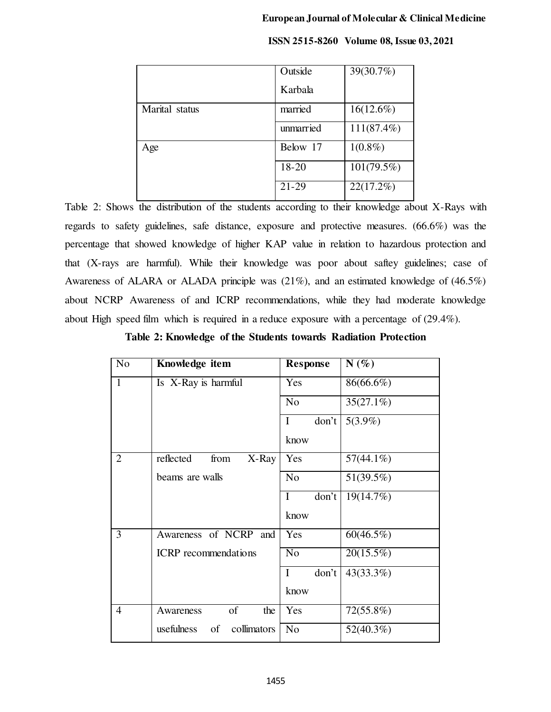|                | Outside   | 39(30.7%)     |
|----------------|-----------|---------------|
|                | Karbala   |               |
| Marital status | married   | $16(12.6\%)$  |
|                | unmarried | $111(87.4\%)$ |
| Age            | Below 17  | $1(0.8\%)$    |
|                | 18-20     | $101(79.5\%)$ |
|                | $21 - 29$ | 22(17.2%)     |

## **ISSN 2515-8260 Volume 08, Issue 03, 2021**

Table 2: Shows the distribution of the students according to their knowledge about X-Rays with regards to safety guidelines, safe distance, exposure and protective measures. (66.6%) was the percentage that showed knowledge of higher KAP value in relation to hazardous protection and that (X-rays are harmful). While their knowledge was poor about saftey guidelines; case of Awareness of ALARA or ALADA principle was  $(21\%)$ , and an estimated knowledge of  $(46.5\%)$ about NCRP Awareness of and ICRP recommendations, while they had moderate knowledge about High speed film which is required in a reduce exposure with a percentage of (29.4%).

## **Table 2: Knowledge of the Students towards Radiation Protection**

| N <sub>o</sub> | Knowledge item                  | <b>Response</b>      | $N(\%)$      |
|----------------|---------------------------------|----------------------|--------------|
| $\mathbf{1}$   | Is X-Ray is harmful             | Yes                  | 86(66.6%)    |
|                |                                 | N <sub>0</sub>       | $35(27.1\%)$ |
|                |                                 | don't<br>$\mathbf I$ | $5(3.9\%)$   |
|                |                                 | know                 |              |
| $\overline{2}$ | reflected<br>from<br>X-Ray      | Yes                  | $57(44.1\%)$ |
|                | beams are walls                 | N <sub>o</sub>       | 51(39.5%)    |
|                |                                 | don't<br>I           | 19(14.7%)    |
|                |                                 | know                 |              |
| 3              | Awareness of NCRP and           | Yes                  | 60(46.5%)    |
|                | <b>ICRP</b> recommendations     | N <sub>o</sub>       | $20(15.5\%)$ |
|                |                                 | don't<br>I           | 43(33.3%)    |
|                |                                 | know                 |              |
| 4              | of<br>Awareness<br>the          | Yes                  | $72(55.8\%)$ |
|                | usefulness<br>of<br>collimators | N <sub>o</sub>       | $52(40.3\%)$ |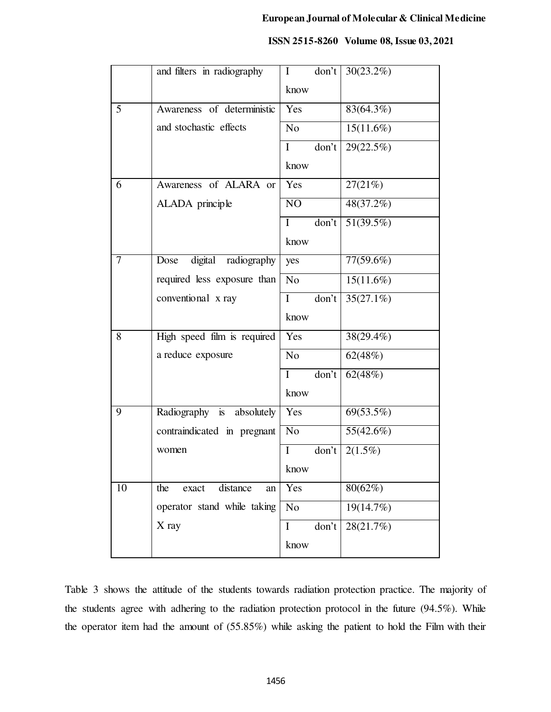|    | and filters in radiography     | $\mathbf{I}$   | don't                     | 30(23.2%)               |
|----|--------------------------------|----------------|---------------------------|-------------------------|
|    |                                | know           |                           |                         |
| 5  | Awareness of deterministic     | Yes            |                           | 83(64.3%)               |
|    | and stochastic effects         | N <sub>o</sub> |                           | $15(11.6\%)$            |
|    |                                | $\bf{I}$       | don't                     | 29(22.5%)               |
|    |                                | know           |                           |                         |
| 6  | Awareness of ALARA or          | Yes            |                           | 27(21%)                 |
|    | ALADA principle                | NO             |                           | $\sqrt{48(37.2\%)}$     |
|    |                                | $\bf{I}$       | $d$ on't                  | $\overline{51(39.5\%)}$ |
|    |                                | know           |                           |                         |
| 7  | digital radiography<br>Dose    | yes            |                           | 77(59.6%)               |
|    | required less exposure than    | N <sub>o</sub> |                           | $15(11.6\%)$            |
|    | conventional x ray             | $\mathbf{I}$   | don't                     | $35(27.1\%)$            |
|    |                                | know           |                           |                         |
| 8  | High speed film is required    | Yes            |                           | 38(29.4%)               |
|    | a reduce exposure              | N <sub>o</sub> |                           | 62(48%)                 |
|    |                                | $\mathbf I$    | $\overline{\text{don't}}$ | 62(48%)                 |
|    |                                | know           |                           |                         |
| 9  | Radiography is absolutely      | Yes            |                           | 69(53.5%)               |
|    | contraindicated in pregnant    | N <sub>o</sub> |                           | 55(42.6%)               |
|    | women                          | $\bf{I}$       | don't                     | $2(1.5\%)$              |
|    |                                | know           |                           |                         |
| 10 | distance<br>the<br>exact<br>an | Yes            |                           | 80(62%)                 |
|    | operator stand while taking    | N <sub>o</sub> |                           | 19(14.7%)               |
|    | X ray                          | I              | don't                     | 28(21.7%)               |
|    |                                | know           |                           |                         |

#### **ISSN 2515-8260 Volume 08, Issue 03, 2021**

Table 3 shows the attitude of the students towards radiation protection practice. The majority of the students agree with adhering to the radiation protection protocol in the future (94.5%). While the operator item had the amount of (55.85%) while asking the patient to hold the Film with their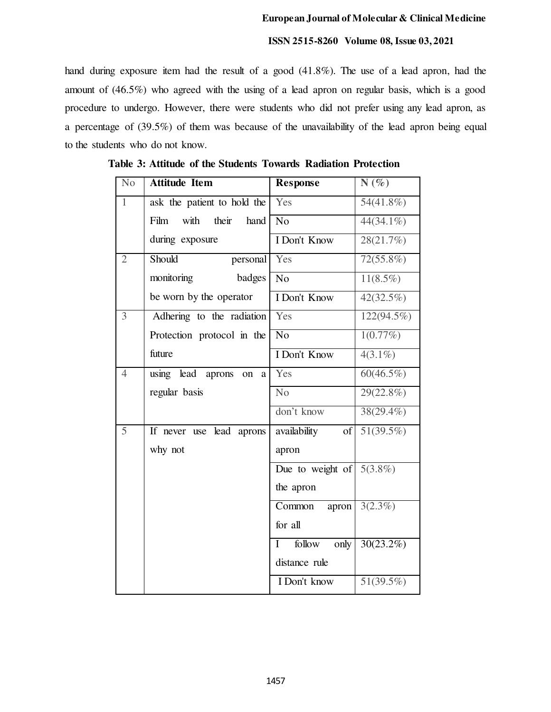#### **ISSN 2515-8260 Volume 08, Issue 03, 2021**

hand during exposure item had the result of a good (41.8%). The use of a lead apron, had the amount of (46.5%) who agreed with the using of a lead apron on regular basis, which is a good procedure to undergo. However, there were students who did not prefer using any lead apron, as a percentage of (39.5%) of them was because of the unavailability of the lead apron being equal to the students who do not know.

| N <sub>0</sub> | <b>Attitude Item</b>                | <b>Response</b>               | $N(\%)$                 |
|----------------|-------------------------------------|-------------------------------|-------------------------|
| $\mathbf{1}$   | ask the patient to hold the         | Yes                           | $54(41.8\%)$            |
|                | with<br>their<br>Film<br>hand       | N <sub>o</sub>                | $44(34.1\%)$            |
|                | during exposure                     | I Don't Know                  | 28(21.7%)               |
| $\overline{2}$ | Should<br>personal                  | Yes                           | $72(55.8\%)$            |
|                | monitoring<br>badges                | N <sub>o</sub>                | $11(8.5\%)$             |
|                | be worn by the operator             | <b>I</b> Don't Know           | $\overline{42(32.5\%)}$ |
| $\overline{3}$ | Adhering to the radiation           | Yes                           | 122(94.5%)              |
|                | Protection protocol in the          | $\overline{No}$               | 1(0.77%)                |
|                | future                              | I Don't Know                  | $4(3.1\%)$              |
| $\overline{4}$ | using lead aprons<br>on<br>$\rm{a}$ | Yes                           | $60(46.5\%)$            |
|                | regular basis                       | No                            | 29(22.8%)               |
|                |                                     | don't know                    | $38(29.4\%)$            |
| 5              | If never use lead aprons            | of<br>availability            | $51(39.5\%)$            |
|                | why not                             | apron                         |                         |
|                |                                     | Due to weight of              | $5(3.8\%)$              |
|                |                                     | the apron                     |                         |
|                |                                     | apron<br>Common               | $3(2.3\%)$              |
|                |                                     | for all                       |                         |
|                |                                     | follow<br>only<br>$\mathbf I$ | 30(23.2%)               |
|                |                                     | distance rule                 |                         |
|                |                                     | I Don't know                  | 51(39.5%)               |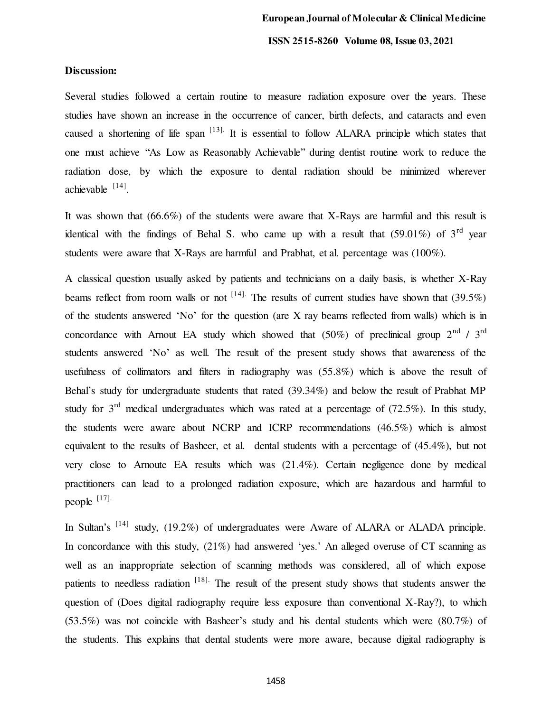# **Discussion:**

Several studies followed a certain routine to measure radiation exposure over the years. These studies have shown an increase in the occurrence of cancer, birth defects, and cataracts and even caused a shortening of life span  $^{[13]}$ . It is essential to follow ALARA principle which states that one must achieve "As Low as Reasonably Achievable" during dentist routine work to reduce the radiation dose, by which the exposure to dental radiation should be minimized wherever achievable <sup>[14]</sup>.

It was shown that (66.6%) of the students were aware that X-Rays are harmful and this result is identical with the findings of Behal S. who came up with a result that  $(59.01\%)$  of  $3^{\text{rd}}$  year students were aware that X-Rays are harmful and Prabhat, et al. percentage was (100%).

A classical question usually asked by patients and technicians on a daily basis, is whether X-Ray beams reflect from room walls or not  $^{[14]}$ . The results of current studies have shown that (39.5%) of the students answered 'No' for the question (are X ray beams reflected from walls) which is in concordance with Arnout EA study which showed that  $(50\%)$  of preclinical group  $2<sup>nd</sup>$  / 3<sup>rd</sup> students answered 'No' as well. The result of the present study shows that awareness of the usefulness of collimators and filters in radiography was (55.8%) which is above the result of Behal's study for undergraduate students that rated (39.34%) and below the result of Prabhat MP study for  $3<sup>rd</sup>$  medical undergraduates which was rated at a percentage of (72.5%). In this study, the students were aware about NCRP and ICRP recommendations (46.5%) which is almost equivalent to the results of Basheer, et al. dental students with a percentage of (45.4%), but not very close to Arnoute EA results which was (21.4%). Certain negligence done by medical practitioners can lead to a prolonged radiation exposure, which are hazardous and harmful to people [17].

In Sultan's <sup>[14]</sup> study, (19.2%) of undergraduates were Aware of ALARA or ALADA principle. In concordance with this study,  $(21\%)$  had answered 'yes.' An alleged overuse of CT scanning as well as an inappropriate selection of scanning methods was considered, all of which expose patients to needless radiation <sup>[18]</sup>. The result of the present study shows that students answer the question of (Does digital radiography require less exposure than conventional X-Ray?), to which (53.5%) was not coincide with Basheer's study and his dental students which were (80.7%) of the students. This explains that dental students were more aware, because digital radiography is

1458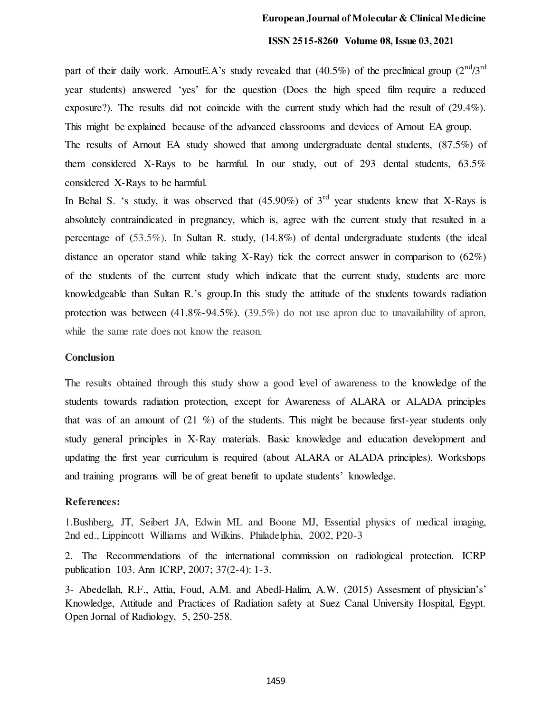#### **ISSN 2515-8260 Volume 08, Issue 03, 2021**

part of their daily work. ArnoutE.A's study revealed that  $(40.5\%)$  of the preclinical group  $(2<sup>nd</sup>/3<sup>rd</sup>)$ year students) answered 'yes' for the question (Does the high speed film require a reduced exposure?). The results did not coincide with the current study which had the result of (29.4%). This might be explained because of the advanced classrooms and devices of Arnout EA group.

The results of Arnout EA study showed that among undergraduate dental students, (87.5%) of them considered X-Rays to be harmful. In our study, out of 293 dental students,  $63.5\%$ considered X-Rays to be harmful.

In Behal S. 's study, it was observed that  $(45.90\%)$  of 3<sup>rd</sup> year students knew that X-Rays is absolutely contraindicated in pregnancy, which is, agree with the current study that resulted in a percentage of (53.5%). In Sultan R. study, (14.8%) of dental undergraduate students (the ideal distance an operator stand while taking X-Ray) tick the correct answer in comparison to  $(62\%)$ of the students of the current study which indicate that the current study, students are more knowledgeable than Sultan R.'s group.In this study the attitude of the students towards radiation protection was between  $(41.8\% - 94.5\%)$ .  $(39.5\%)$  do not use apron due to unavailability of apron, while the same rate does not know the reason.

#### **Conclusion**

The results obtained through this study show a good level of awareness to the knowledge of the students towards radiation protection, except for Awareness of ALARA or ALADA principles that was of an amount of (21 %) of the students. This might be because first-year students only study general principles in X-Ray materials. Basic knowledge and education development and updating the first year curriculum is required (about ALARA or ALADA principles). Workshops and training programs will be of great benefit to update students' knowledge.

#### **References:**

1.Bushberg, JT, Seibert JA, Edwin ML and Boone MJ, Essential physics of medical imaging, 2nd ed., Lippincott Williams and Wilkins. Philadelphia, 2002, P20-3

2. The Recommendations of the international commission on radiological protection. ICRP publication 103. Ann ICRP, 2007; 37(2-4): 1-3.

3- Abedellah, R.F., Attia, Foud, A.M. and Abedl-Halim, A.W. (2015) Assesment of physician's' Knowledge, Attitude and Practices of Radiation safety at Suez Canal University Hospital, Egypt. Open Jornal of Radiology, 5, 250-258.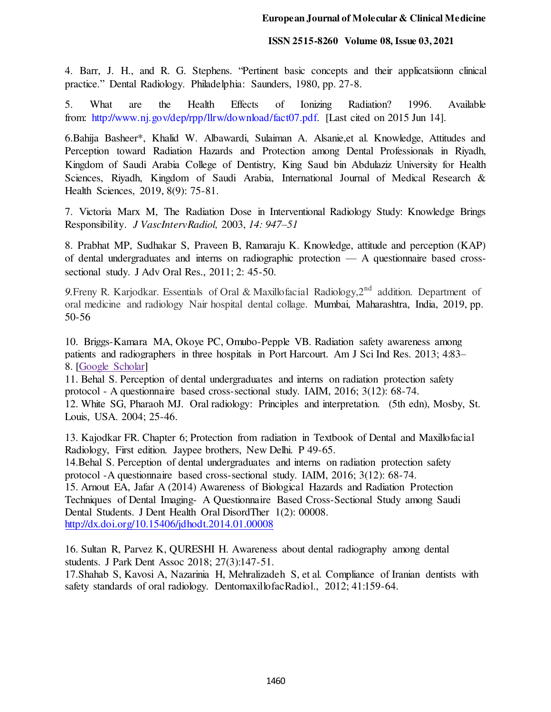#### **ISSN 2515-8260 Volume 08, Issue 03, 2021**

4. Barr, J. H., and R. G. Stephens. "Pertinent basic concepts and their applicatsiionn clinical practice." Dental Radiology. Philadelphia: Saunders, 1980, pp. 27-8.

5. What are the Health Effects of Ionizing Radiation? 1996. Available from: [http://www.nj.gov/dep/rpp/llrw/download/fact07.pdf.](http://www.nj.gov/dep/rpp/llrw/download/fact07.pdf) [Last cited on 2015 Jun 14].

6.Bahija Basheer\*, Khalid W. Albawardi, Sulaiman A. Alsanie,et al. Knowledge, Attitudes and Perception toward Radiation Hazards and Protection among Dental Professionals in Riyadh, Kingdom of Saudi Arabia College of Dentistry, King Saud bin Abdulaziz University for Health Sciences, Riyadh, Kingdom of Saudi Arabia, International Journal of Medical Research & Health Sciences, 2019, 8(9): 75-81.

7. Victoria Marx M, The Radiation Dose in Interventional Radiology Study: Knowledge Brings Responsibility. *J VascIntervRadiol,* 2003, *14: 947–51* 

8. Prabhat MP, Sudhakar S, Praveen B, Ramaraju K. Knowledge, attitude and perception (KAP) of dental undergraduates and interns on radiographic protection — A questionnaire based crosssectional study. J Adv Oral Res., 2011; 2: 45-50.

9. Freny R. Karjodkar. Essentials of Oral & Maxillofacial Radiology, 2<sup>nd</sup> addition. Department of oral medicine and radiology Nair hospital dental collage. Mumbai, Maharashtra, India, 2019, pp. 50-56

10. Briggs-Kamara MA, Okoye PC, Omubo-Pepple VB. Radiation safety awareness among patients and radiographers in three hospitals in Port Harcourt. Am J Sci Ind Res. 2013; 4:83– 8. [\[Google Scholar\]](https://scholar.google.com/scholar_lookup?journal=Am+J+Sci+Ind+Res&title=Radiation+safety+awareness+among+patients+and+radiographers+in+three+hospitals+in+Port+Harcourt&author=MA+Briggs-Kamara&author=PC+Okoye&author=VB+Omubo-Pepple&volume=4&publication_year=2013&pages=83-8&) 

11. Behal S. Perception of dental undergraduates and interns on radiation protection safety protocol - A questionnaire based cross-sectional study. IAIM, 2016; 3(12): 68-74.

12. White SG, Pharaoh MJ. Oral radiology: Principles and interpretation. (5th edn), Mosby, St. Louis, USA. 2004; 25-46.

13. Kajodkar FR. Chapter 6; Protection from radiation in Textbook of Dental and Maxillofacial Radiology, First edition. Jaypee brothers, New Delhi. P 49-65.

14.Behal S. Perception of dental undergraduates and interns on radiation protection safety protocol -A questionnaire based cross-sectional study. IAIM, 2016; 3(12): 68-74.

15. Arnout EA, Jafar A (2014) Awareness of Biological Hazards and Radiation Protection Techniques of Dental Imaging- A Questionnaire Based Cross-Sectional Study among Saudi Dental Students. J Dent Health Oral DisordTher 1(2): 00008. <http://dx.doi.org/10.15406/jdhodt.2014.01.00008>

16. Sultan R, Parvez K, QURESHI H. Awareness about dental radiography among dental students. J Park Dent Assoc 2018; 27(3):147-51.

17.Shahab S, Kavosi A, Nazarinia H, Mehralizadeh S, et al. Compliance of Iranian dentists with safety standards of oral radiology. DentomaxillofacRadiol., 2012; 41:159-64.